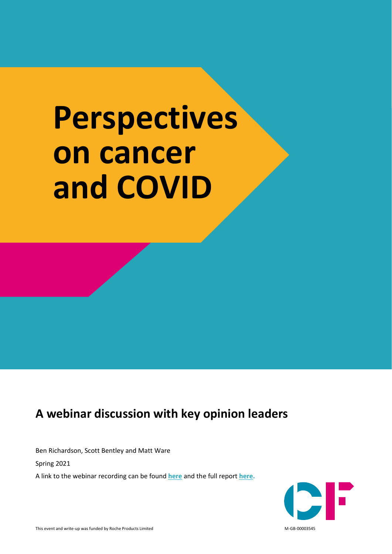# **Perspectives on cancer and COVID**

# **A webinar discussion with key opinion leaders**

Ben Richardson, Scott Bentley and Matt Ware

Spring 2021

A link to the webinar recording can be found **[here](https://www.youtube.com/watch?v=nKu7Zd7ckHM)** and the full report **[here.](https://www.carnallfarrar.com/articles/covid-19-and-cancer-recovery/)**

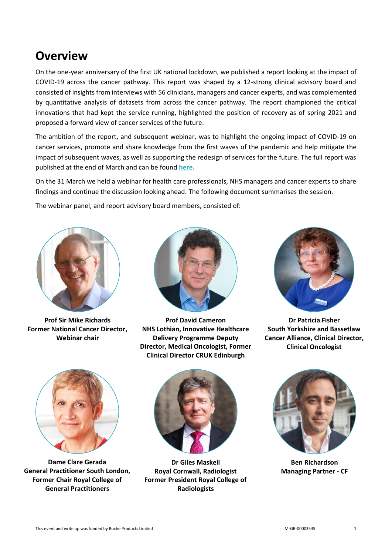# **Overview**

On the one-year anniversary of the first UK national lockdown, we published a report looking at the impact of COVID-19 across the cancer pathway. This report was shaped by a 12-strong clinical advisory board and consisted of insights from interviews with 56 clinicians, managers and cancer experts, and was complemented by quantitative analysis of datasets from across the cancer pathway. The report championed the critical innovations that had kept the service running, highlighted the position of recovery as of spring 2021 and proposed a forward view of cancer services of the future.

The ambition of the report, and subsequent webinar, was to highlight the ongoing impact of COVID-19 on cancer services, promote and share knowledge from the first waves of the pandemic and help mitigate the impact of subsequent waves, as well as supporting the redesign of services for the future. The full report was published at the end of March and can be found **[here.](https://www.carnallfarrar.com/articles/covid-19-and-cancer-recovery/)**

On the 31 March we held a webinar for health care professionals, NHS managers and cancer experts to share findings and continue the discussion looking ahead. The following document summarises the session.

The webinar panel, and report advisory board members, consisted of:



**Prof Sir Mike Richards Former National Cancer Director, Webinar chair**



**Prof David Cameron NHS Lothian, Innovative Healthcare Delivery Programme Deputy Director, Medical Oncologist, Former Clinical Director CRUK Edinburgh** 



**Dr Patricia Fisher South Yorkshire and Bassetlaw Cancer Alliance, Clinical Director, Clinical Oncologist**



**Dame Clare Gerada General Practitioner South London, Former Chair Royal College of General Practitioners**



**Dr Giles Maskell Royal Cornwall, Radiologist Former President Royal College of Radiologists**



**Ben Richardson Managing Partner - CF**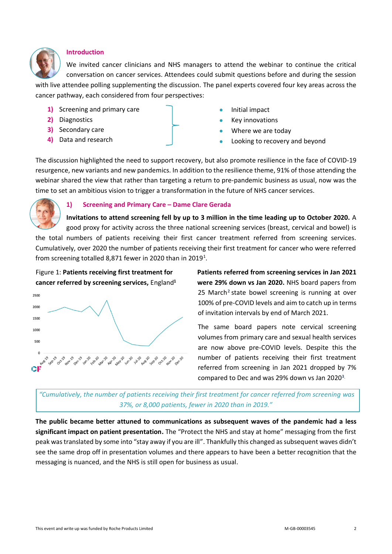

#### **Introduction**

We invited cancer clinicians and NHS managers to attend the webinar to continue the critical conversation on cancer services. Attendees could submit questions before and during the session

with live attendee polling supplementing the discussion. The panel experts covered four key areas across the cancer pathway, each considered from four perspectives:

- **1)** Screening and primary care
- **2)** Diagnostics
- **3)** Secondary care
- **4)** Data and research
- Initial impact
- Key innovations
- Where we are today
- Looking to recovery and beyond

The discussion highlighted the need to support recovery, but also promote resilience in the face of COVID-19 resurgence, new variants and new pandemics. In addition to the resilience theme, 91% of those attending the webinar shared the view that rather than targeting a return to pre-pandemic business as usual, now was the time to set an ambitious vision to trigger a transformation in the future of NHS cancer services.



#### **1) Screening and Primary Care – Dame Clare Gerada**

**Invitations to attend screening fell by up to 3 million in the time leading up to October 2020.** A good proxy for activity across the three national screening services (breast, cervical and bowel) is the total numbers of patients receiving their first cancer treatment referred from screening services. Cumulatively, over 2020 the number of patients receiving their first treatment for cancer who were referred from screening totalled 8,871 fewer in 2020 than in 2019<sup>1</sup>.



**Patients referred from screening services in Jan 2021 were 29% down vs Jan 2020.** NHS board papers from 25 March<sup>2</sup> state bowel screening is running at over 100% of pre-COVID levels and aim to catch up in terms of invitation intervals by end of March 2021.

The same board papers note cervical screening volumes from primary care and sexual health services are now above pre-COVID levels. Despite this the number of patients receiving their first treatment referred from screening in Jan 2021 dropped by 7% compared to Dec and was 29% down vs Jan 2020**<sup>3</sup>.**

*"Cumulatively, the number of patients receiving their first treatment for cancer referred from screening was 37%, or 8,000 patients, fewer in 2020 than in 2019."*

**The public became better attuned to communications as subsequent waves of the pandemic had a less significant impact on patient presentation.** The "Protect the NHS and stay at home" messaging from the first peak was translated by some into "stay away if you are ill". Thankfully this changed as subsequent waves didn't see the same drop off in presentation volumes and there appears to have been a better recognition that the messaging is nuanced, and the NHS is still open for business as usual.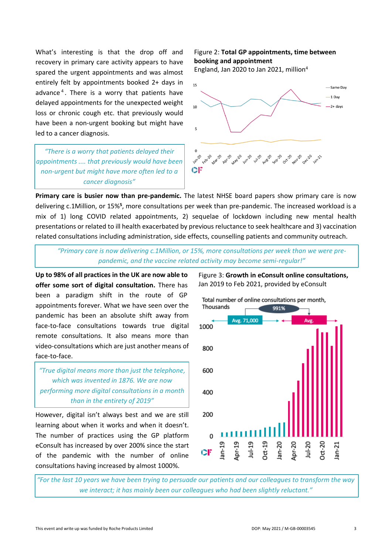What's interesting is that the drop off and recovery in primary care activity appears to have spared the urgent appointments and was almost entirely felt by appointments booked 2+ days in advance<sup>4</sup>. There is a worry that patients have delayed appointments for the unexpected weight loss or chronic cough etc. that previously would have been a non-urgent booking but might have led to a cancer diagnosis.

*"There is a worry that patients delayed their appointments .... that previously would have been non-urgent but might have more often led to a cancer diagnosis"*

## Figure 2: **Total GP appointments, time between booking and appointment**

England, Jan 2020 to Jan 2021, million<sup>4</sup>



**Primary care is busier now than pre-pandemic.** The latest NHSE board papers show primary care is now delivering c.1Million, or 15%<sup>5</sup>, more consultations per week than pre-pandemic. The increased workload is a mix of 1) long COVID related appointments, 2) sequelae of lockdown including new mental health presentations or related to ill health exacerbated by previous reluctance to seek healthcare and 3) vaccination related consultations including administration, side effects, counselling patients and community outreach.

*"Primary care is now delivering c.1Million, or 15%, more consultations per week than we were prepandemic, and the vaccine related activity may become semi-regular!"*

**Up to 98% of all practices in the UK are now able to offer some sort of digital consultation.** There has been a paradigm shift in the route of GP appointments forever. What we have seen over the pandemic has been an absolute shift away from face-to-face consultations towards true digital remote consultations. It also means more than video-consultations which are just another means of face-to-face.

*"True digital means more than just the telephone, which was invented in 1876. We are now performing more digital consultations in a month than in the entirety of 2019"*

However, digital isn't always best and we are still learning about when it works and when it doesn't. The number of practices using the GP platform eConsult has increased by over 200% since the start of the pandemic with the number of online consultations having increased by almost 1000%.

Figure 3: **Growth in eConsult online consultations,**  Jan 2019 to Feb 2021, provided by eConsult



*"For the last 10 years we have been trying to persuade our patients and our colleagues to transform the way we interact; it has mainly been our colleagues who had been slightly reluctant."*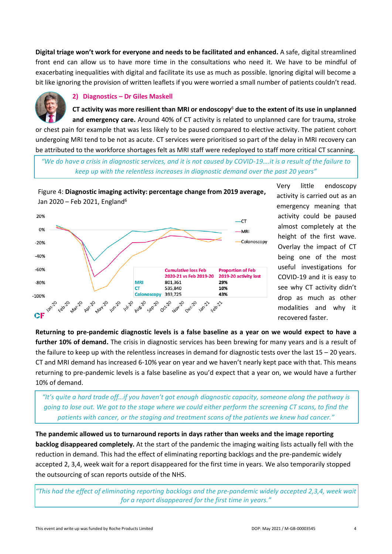**Digital triage won't work for everyone and needs to be facilitated and enhanced.** A safe, digital streamlined front end can allow us to have more time in the consultations who need it. We have to be mindful of exacerbating inequalities with digital and facilitate its use as much as possible. Ignoring digital will become a bit like ignoring the provision of written leaflets if you were worried a small number of patients couldn't read.

# **2) Diagnostics – Dr Giles Maskell**

**CT activity was more resilient than MRI or endoscopy**<sup>6</sup> **due to the extent of its use in unplanned and emergency care.** Around 40% of CT activity is related to unplanned care for trauma, stroke

or chest pain for example that was less likely to be paused compared to elective activity. The patient cohort undergoing MRI tend to be not as acute. CT services were prioritised so part of the delay in MRI recovery can be attributed to the workforce shortages felt as MRI staff were redeployed to staff more critical CT scanning.

*"We do have a crisis in diagnostic services, and it is not caused by COVID-19….it is a result of the failure to keep up with the relentless increases in diagnostic demand over the past 20 years"*

Figure 4: **Diagnostic imaging activity: percentage change from 2019 average,**  Jan 2020 – Feb 2021, England<sup>6</sup>



Very little endoscopy activity is carried out as an emergency meaning that activity could be paused almost completely at the height of the first wave. Overlay the impact of CT being one of the most useful investigations for COVID-19 and it is easy to see why CT activity didn't drop as much as other modalities and why it recovered faster.

**Returning to pre-pandemic diagnostic levels is a false baseline as a year on we would expect to have a further 10% of demand.** The crisis in diagnostic services has been brewing for many years and is a result of the failure to keep up with the relentless increases in demand for diagnostic tests over the last  $15 - 20$  years. CT and MRI demand has increased 6-10% year on year and we haven't nearly kept pace with that. This means returning to pre-pandemic levels is a false baseline as you'd expect that a year on, we would have a further 10% of demand.

*"It's quite a hard trade off…if you haven't got enough diagnostic capacity, someone along the pathway is going to lose out. We got to the stage where we could either perform the screening CT scans, to find the patients with cancer, or the staging and treatment scans of the patients we knew had cancer."*

**The pandemic allowed us to turnaround reports in days rather than weeks and the image reporting backlog disappeared completely.** At the start of the pandemic the imaging waiting lists actually fell with the reduction in demand. This had the effect of eliminating reporting backlogs and the pre-pandemic widely accepted 2, 3,4, week wait for a report disappeared for the first time in years. We also temporarily stopped the outsourcing of scan reports outside of the NHS.

*"This had the effect of eliminating reporting backlogs and the pre-pandemic widely accepted 2,3,4, week wait for a report disappeared for the first time in years."*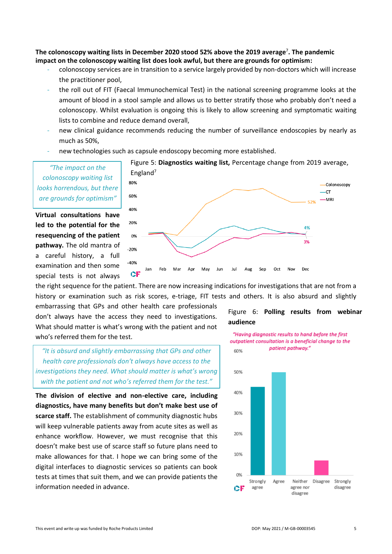**The colonoscopy waiting lists in December 2020 stood 52% above the 2019 average**<sup>7</sup> **. The pandemic impact on the colonoscopy waiting list does look awful, but there are grounds for optimism:**

- colonoscopy services are in transition to a service largely provided by non-doctors which will increase the practitioner pool,
- the roll out of FIT (Faecal Immunochemical Test) in the national screening programme looks at the amount of blood in a stool sample and allows us to better stratify those who probably don't need a colonoscopy. Whilst evaluation is ongoing this is likely to allow screening and symptomatic waiting lists to combine and reduce demand overall,
- new clinical guidance recommends reducing the number of surveillance endoscopies by nearly as much as 50%,
- new technologies such as capsule endoscopy becoming more established.

*"The impact on the colonoscopy waiting list looks horrendous, but there are grounds for optimism"*

**Virtual consultations have led to the potential for the resequencing of the patient pathway.** The old mantra of a careful history, a full examination and then some special tests is not always



Figure 5: **Diagnostics waiting list,** Percentage change from 2019 average,

the right sequence for the patient. There are now increasing indications for investigations that are not from a history or examination such as risk scores, e-triage, FIT tests and others. It is also absurd and slightly

embarrassing that GPs and other health care professionals don't always have the access they need to investigations. What should matter is what's wrong with the patient and not who's referred them for the test.

*"It is absurd and slightly embarrassing that GPs and other health care professionals don't always have access to the investigations they need. What should matter is what's wrong with the patient and not who's referred them for the test."*

**The division of elective and non-elective care, including diagnostics, have many benefits but don't make best use of scarce staff.** The establishment of community diagnostic hubs will keep vulnerable patients away from acute sites as well as enhance workflow. However, we must recognise that this doesn't make best use of scarce staff so future plans need to make allowances for that. I hope we can bring some of the digital interfaces to diagnostic services so patients can book tests at times that suit them, and we can provide patients the information needed in advance.

Figure 6: **Polling results from webinar audience**



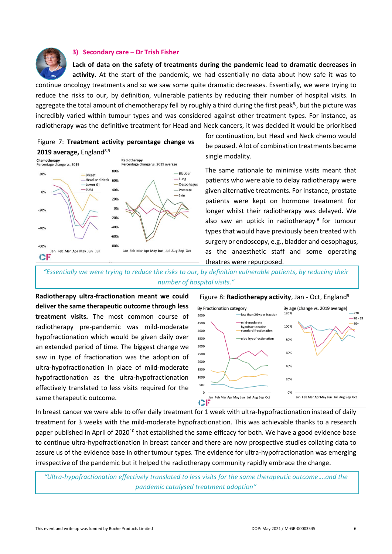

#### **3) Secondary care – Dr Trish Fisher**

**Lack of data on the safety of treatments during the pandemic lead to dramatic decreases in activity.** At the start of the pandemic, we had essentially no data about how safe it was to

continue oncology treatments and so we saw some quite dramatic decreases. Essentially, we were trying to reduce the risks to our, by definition, vulnerable patients by reducing their number of hospital visits. In aggregate the total amount of chemotherapy fell by roughly a third during the first peak<sup>8</sup>, but the picture was incredibly varied within tumour types and was considered against other treatment types. For instance, as radiotherapy was the definitive treatment for Head and Neck cancers, it was decided it would be prioritised





for continuation, but Head and Neck chemo would be paused. A lot of combination treatments became single modality.

The same rationale to minimise visits meant that patients who were able to delay radiotherapy were given alternative treatments. For instance, prostate patients were kept on hormone treatment for longer whilst their radiotherapy was delayed. We also saw an uptick in radiotherapy<sup>9</sup> for tumour types that would have previously been treated with surgery or endoscopy, e.g., bladder and oesophagus, as the anaesthetic staff and some operating theatres were repurposed.

*"Essentially we were trying to reduce the risks to our, by definition vulnerable patients, by reducing their number of hospital visits."*

**Radiotherapy ultra-fractionation meant we could deliver the same therapeutic outcome through less treatment visits.** The most common course of radiotherapy pre-pandemic was mild-moderate hypofractionation which would be given daily over an extended period of time. The biggest change we saw in type of fractionation was the adoption of ultra-hypofractionation in place of mild-moderate hypofractionation as the ultra-hypofractionation effectively translated to less visits required for the same therapeutic outcome.





In breast cancer we were able to offer daily treatment for 1 week with ultra-hypofractionation instead of daily treatment for 3 weeks with the mild-moderate hypofractionation. This was achievable thanks to a research paper published in April of 2020<sup>10</sup> that established the same efficacy for both. We have a good evidence base to continue ultra-hypofractionation in breast cancer and there are now prospective studies collating data to assure us of the evidence base in other tumour types. The evidence for ultra-hypofractionation was emerging irrespective of the pandemic but it helped the radiotherapy community rapidly embrace the change.

*"Ultra-hypofractionation effectively translated to less visits for the same therapeutic outcome….and the pandemic catalysed treatment adoption"*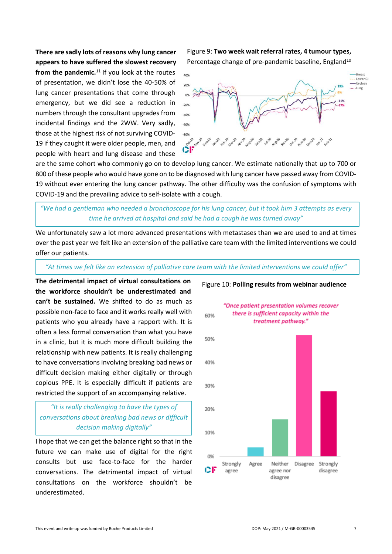**There are sadly lots of reasons why lung cancer appears to have suffered the slowest recovery** from the pandemic.<sup>11</sup> If you look at the routes of presentation, we didn't lose the 40-50% of lung cancer presentations that come through emergency, but we did see a reduction in numbers through the consultant upgrades from incidental findings and the 2WW. Very sadly, those at the highest risk of not surviving COVID-19 if they caught it were older people, men, and people with heart and lung disease and these

Figure 9: **Two week wait referral rates, 4 tumour types,** Percentage change of pre-pandemic baseline, England<sup>10</sup>



are the same cohort who commonly go on to develop lung cancer. We estimate nationally that up to 700 or 800 of these people who would have gone on to be diagnosed with lung cancer have passed away from COVID-19 without ever entering the lung cancer pathway. The other difficulty was the confusion of symptoms with COVID-19 and the prevailing advice to self-isolate with a cough.

## *"We had a gentleman who needed a bronchoscope for his lung cancer, but it took him 3 attempts as every time he arrived at hospital and said he had a cough he was turned away"*

We unfortunately saw a lot more advanced presentations with metastases than we are used to and at times over the past year we felt like an extension of the palliative care team with the limited interventions we could offer our patients.

#### *"At times we felt like an extension of palliative care team with the limited interventions we could offer"*

**The detrimental impact of virtual consultations on the workforce shouldn't be underestimated and can't be sustained***.* We shifted to do as much as possible non-face to face and it works really well with patients who you already have a rapport with. It is often a less formal conversation than what you have in a clinic, but it is much more difficult building the relationship with new patients. It is really challenging to have conversations involving breaking bad news or difficult decision making either digitally or through copious PPE. It is especially difficult if patients are restricted the support of an accompanying relative.

## *"It is really challenging to have the types of conversations about breaking bad news or difficult decision making digitally"*

I hope that we can get the balance right so that in the future we can make use of digital for the right consults but use face-to-face for the harder conversations. The detrimental impact of virtual consultations on the workforce shouldn't be underestimated.



#### Figure 10: **Polling results from webinar audience**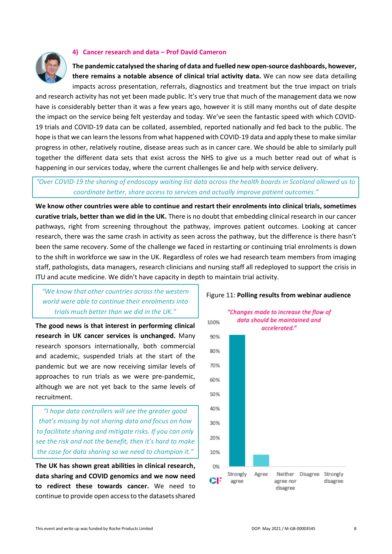#### **4) Cancer research and data – Prof David Cameron**



**The pandemic catalysed the sharing of data and fuelled new open-source dashboards, however, there remains a notable absence of clinical trial activity data.** We can now see data detailing

impacts across presentation, referrals, diagnostics and treatment but the true impact on trials and research activity has not yet been made public. It's very true that much of the management data we now have is considerably better than it was a few years ago, however it is still many months out of date despite the impact on the service being felt yesterday and today. We've seen the fantastic speed with which COVID-19 trials and COVID-19 data can be collated, assembled, reported nationally and fed back to the public. The hope is that we can learn the lessons from what happened with COVID-19 data and apply these to make similar progress in other, relatively routine, disease areas such as in cancer care. We should be able to similarly pull together the different data sets that exist across the NHS to give us a much better read out of what is happening in our services today, where the current challenges lie and help with service delivery.

### *"Over COVID-19 the sharing of endoscopy waiting list data across the health boards in Scotland allowed us to coordinate better, share access to services and actually improve patient outcomes."*

**We know other countries were able to continue and restart their enrolments into clinical trials, sometimes curative trials, better than we did in the UK.** There is no doubt that embedding clinical research in our cancer pathways, right from screening throughout the pathway, improves patient outcomes. Looking at cancer research, there was the same crash in activity as seen across the pathway, but the difference is there hasn't been the same recovery. Some of the challenge we faced in restarting or continuing trial enrolments is down to the shift in workforce we saw in the UK. Regardless of roles we had research team members from imaging staff, pathologists, data managers, research clinicians and nursing staff all redeployed to support the crisis in ITU and acute medicine. We didn't have capacity in depth to maintain trial activity.

100%

# *"We know that other countries across the western world were able to continue their enrolments into trials much better than we did in the UK."*

**The good news is that interest in performing clinical research in UK cancer services is unchanged.** Many research sponsors internationally, both commercial and academic, suspended trials at the start of the pandemic but we are now receiving similar levels of approaches to run trials as we were pre-pandemic, although we are not yet back to the same levels of recruitment.

*"I hope data controllers will see the greater good that's missing by not sharing data and focus on how to facilitate sharing and mitigate risks. If you can only see the risk and not the benefit, then it's hard to make the case for data sharing so we need to champion it."*

**The UK has shown great abilities in clinical research, data sharing and COVID genomics and we now need to redirect these towards cancer.** We need to continue to provide open access to the datasets shared





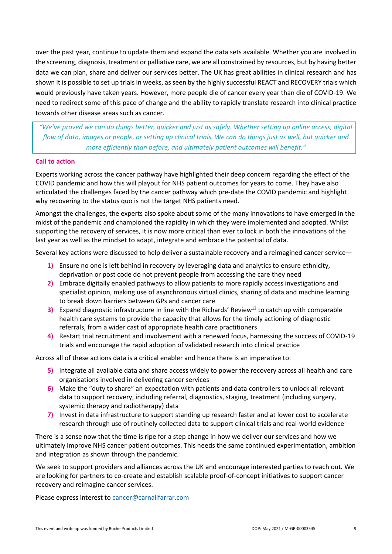over the past year, continue to update them and expand the data sets available. Whether you are involved in the screening, diagnosis, treatment or palliative care, we are all constrained by resources, but by having better data we can plan, share and deliver our services better. The UK has great abilities in clinical research and has shown it is possible to set up trials in weeks, as seen by the highly successful REACT and RECOVERY trials which would previously have taken years. However, more people die of cancer every year than die of COVID-19. We need to redirect some of this pace of change and the ability to rapidly translate research into clinical practice towards other disease areas such as cancer.

*"We've proved we can do things better, quicker and just as safely. Whether setting up online access, digital flow of data, images or people, or setting up clinical trials. We can do things just as well, but quicker and more efficiently than before, and ultimately patient outcomes will benefit."*

#### **Call to action**

Experts working across the cancer pathway have highlighted their deep concern regarding the effect of the COVID pandemic and how this will playout for NHS patient outcomes for years to come. They have also articulated the challenges faced by the cancer pathway which pre-date the COVID pandemic and highlight why recovering to the status quo is not the target NHS patients need.

Amongst the challenges, the experts also spoke about some of the many innovations to have emerged in the midst of the pandemic and championed the rapidity in which they were implemented and adopted. Whilst supporting the recovery of services, it is now more critical than ever to lock in both the innovations of the last year as well as the mindset to adapt, integrate and embrace the potential of data.

Several key actions were discussed to help deliver a sustainable recovery and a reimagined cancer service—

- **1)** Ensure no one is left behind in recovery by leveraging data and analytics to ensure ethnicity, deprivation or post code do not prevent people from accessing the care they need
- **2)** Embrace digitally enabled pathways to allow patients to more rapidly access investigations and specialist opinion, making use of asynchronous virtual clinics, sharing of data and machine learning to break down barriers between GPs and cancer care
- **3)** Expand diagnostic infrastructure in line with the Richards' Review<sup>12</sup> to catch up with comparable health care systems to provide the capacity that allows for the timely actioning of diagnostic referrals, from a wider cast of appropriate health care practitioners
- **4)** Restart trial recruitment and involvement with a renewed focus, harnessing the success of COVID-19 trials and encourage the rapid adoption of validated research into clinical practice

Across all of these actions data is a critical enabler and hence there is an imperative to:

- **5)** Integrate all available data and share access widely to power the recovery across all health and care organisations involved in delivering cancer services
- **6)** Make the "duty to share" an expectation with patients and data controllers to unlock all relevant data to support recovery, including referral, diagnostics, staging, treatment (including surgery, systemic therapy and radiotherapy) data
- **7)** Invest in data infrastructure to support standing up research faster and at lower cost to accelerate research through use of routinely collected data to support clinical trials and real-world evidence

There is a sense now that the time is ripe for a step change in how we deliver our services and how we ultimately improve NHS cancer patient outcomes. This needs the same continued experimentation, ambition and integration as shown through the pandemic.

We seek to support providers and alliances across the UK and encourage interested parties to reach out. We are looking for partners to co-create and establish scalable proof-of-concept initiatives to support cancer recovery and reimagine cancer services.

Please express interest to [cancer@carnallfarrar.com](mailto:cancer@carnallfarrar.com)